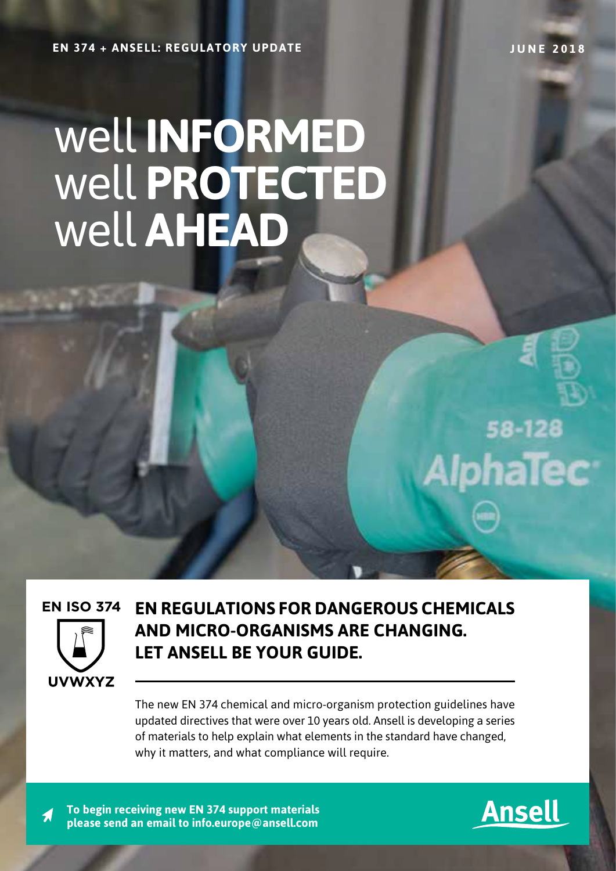**EN 374 + ANSELL: REGULATORY UPDATE JUNE 2018**

# well **INFORMED** well **PROTECTED** well **AHEAD**



**EN REGULATIONS FOR DANGEROUS CHEMICALS AND MICRO-ORGANISMS ARE CHANGING. LET ANSELL BE YOUR GUIDE.**

The new EN 374 chemical and micro-organism protection guidelines have updated directives that were over 10 years old. Ansell is developing a series of materials to help explain what elements in the standard have changed, why it matters, and what compliance will require.

**To begin receiving new EN 374 support materials please send an email to info.europe@ansell.com**



58-128

**AlphaTec**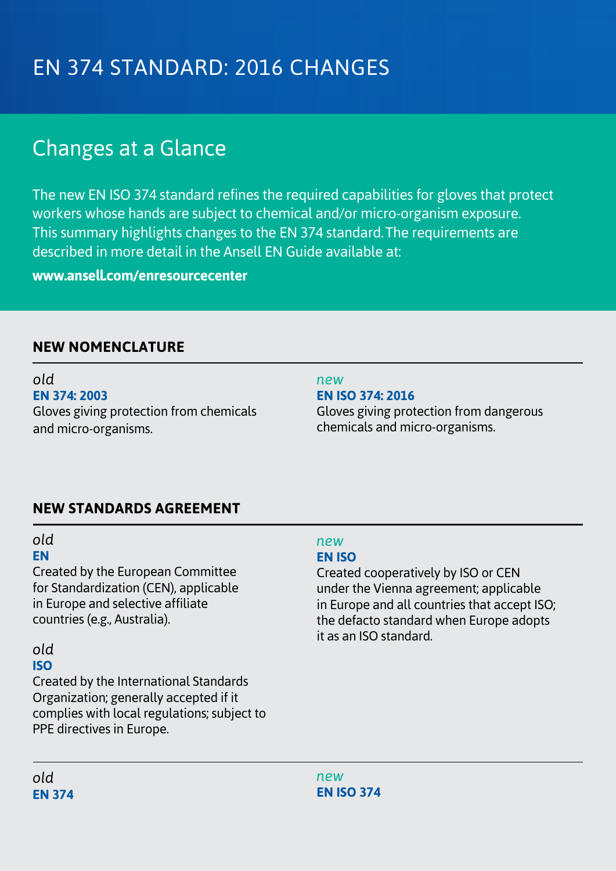## EN 374 STANDARD: 2016 CHANGES

## Changes at a Glance

The new EN ISO 374 standard refines the required capabilities for gloves that protect workers whose hands are subject to chemical and/or micro-organism exposure. This summary highlights changes to the EN 374 standard. The requirements are described in more detail in the Ansell EN Guide available at:

**www.ansell.com/enresourcecenter**

#### **NEW NOMENCLATURE**

*old* **EN 374: 2003** Gloves giving protection from chemicals and micro-organisms.

#### *new*

**EN ISO 374: 2016** Gloves giving protection from dangerous chemicals and micro-organisms.

#### **NEW STANDARDS AGREEMENT**

#### *old* **EN**

Created by the European Committee for Standardization (CEN), applicable in Europe and selective affiliate countries (e.g., Australia).

#### *old*

### **ISO**

Created by the International Standards Organization; generally accepted if it complies with local regulations; subject to PPE directives in Europe.

#### *new* **EN ISO**

Created cooperatively by ISO or CEN under the Vienna agreement; applicable in Europe and all countries that accept ISO; the defacto standard when Europe adopts it as an ISO standard.

*old* **EN 374**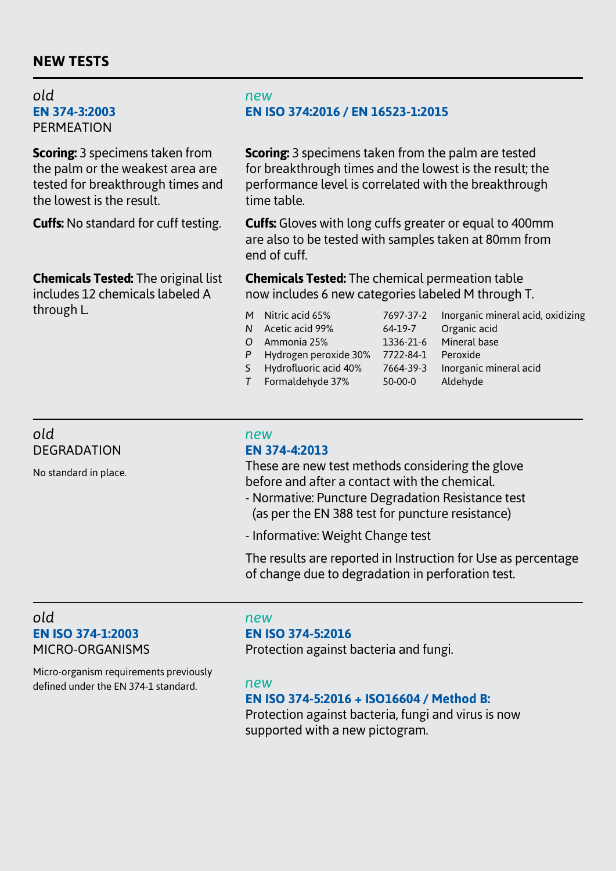#### **NEW TESTS**

*old* **EN 374-3:2003 PERMEATION** 

**Scoring:** 3 specimens taken from the palm or the weakest area are tested for breakthrough times and the lowest is the result.

**Cuffs:** No standard for cuff testing.

**Chemicals Tested:** The original list includes 12 chemicals labeled A through L.

#### *new* **EN ISO 374:2016 / EN 16523-1:2015**

**Scoring:** 3 specimens taken from the palm are tested for breakthrough times and the lowest is the result; the performance level is correlated with the breakthrough time table.

**Cuffs:** Gloves with long cuffs greater or equal to 400mm are also to be tested with samples taken at 80mm from end of cuff.

**Chemicals Tested:** The chemical permeation table now includes 6 new categories labeled M through T.

- *M* Nitric acid 65% 7697-37-2 Inorganic mineral acid, oxidizing
- *N* Acetic acid 99% 64-19-7 Organic acid
- 
- *P* Hydrogen peroxide 30% 7722-84-1 Peroxide
- -
- *O* Ammonia 25% 1336-21-6 Mineral base *S* Hydrofluoric acid 40% 7664-39-3 Inorganic mineral acid *T* Formaldehyde 37% 50-00-0 Aldehyde

*old* **DEGRADATION** 

No standard in place.

#### **EN 374-4:2013**

*new*

These are new test methods considering the glove before and after a contact with the chemical.

- Normative: Puncture Degradation Resistance test (as per the EN 388 test for puncture resistance)
- Informative: Weight Change test

The results are reported in Instruction for Use as percentage of change due to degradation in perforation test.

#### *old* **EN ISO 374-1:2003** MICRO-ORGANISMS

Micro-organism requirements previously defined under the EN 374-1 standard. *new*

#### *new* **EN ISO 374-5:2016**

Protection against bacteria and fungi.

#### **EN ISO 374-5:2016 + ISO16604 / Method B:**

Protection against bacteria, fungi and virus is now supported with a new pictogram.